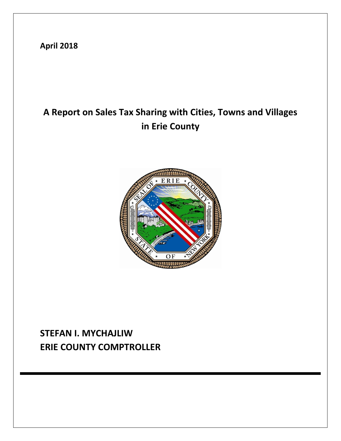**April 2018**

# **A Report on Sales Tax Sharing with Cities, Towns and Villages in Erie County**



# **STEFAN I. MYCHAJLIW ERIE COUNTY COMPTROLLER**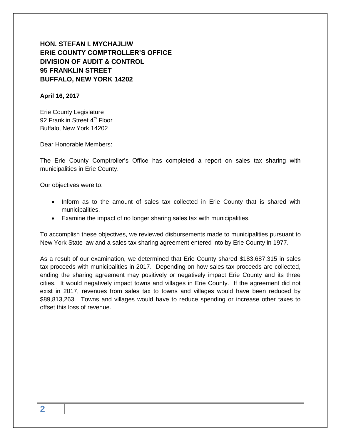# **HON. STEFAN I. MYCHAJLIW ERIE COUNTY COMPTROLLER'S OFFICE DIVISION OF AUDIT & CONTROL 95 FRANKLIN STREET BUFFALO, NEW YORK 14202**

#### **April 16, 2017**

Erie County Legislature 92 Franklin Street 4<sup>th</sup> Floor Buffalo, New York 14202

Dear Honorable Members:

The Erie County Comptroller's Office has completed a report on sales tax sharing with municipalities in Erie County.

Our objectives were to:

- Inform as to the amount of sales tax collected in Erie County that is shared with municipalities.
- Examine the impact of no longer sharing sales tax with municipalities.

To accomplish these objectives, we reviewed disbursements made to municipalities pursuant to New York State law and a sales tax sharing agreement entered into by Erie County in 1977.

As a result of our examination, we determined that Erie County shared \$183,687,315 in sales tax proceeds with municipalities in 2017. Depending on how sales tax proceeds are collected, ending the sharing agreement may positively or negatively impact Erie County and its three cities. It would negatively impact towns and villages in Erie County. If the agreement did not exist in 2017, revenues from sales tax to towns and villages would have been reduced by \$89,813,263. Towns and villages would have to reduce spending or increase other taxes to offset this loss of revenue.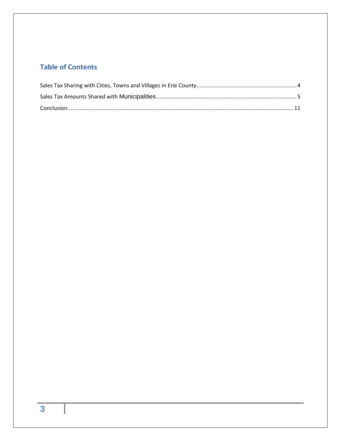# **Table of Contents**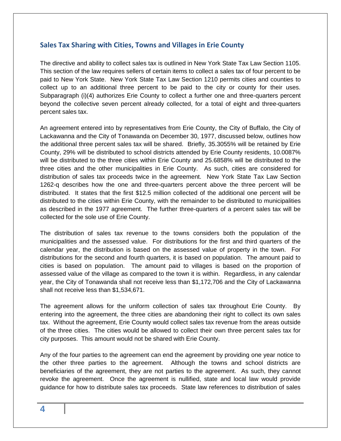### <span id="page-3-0"></span>**Sales Tax Sharing with Cities, Towns and Villages in Erie County**

The directive and ability to collect sales tax is outlined in New York State Tax Law Section 1105. This section of the law requires sellers of certain items to collect a sales tax of four percent to be paid to New York State. New York State Tax Law Section 1210 permits cities and counties to collect up to an additional three percent to be paid to the city or county for their uses. Subparagraph (i)(4) authorizes Erie County to collect a further one and three-quarters percent beyond the collective seven percent already collected, for a total of eight and three-quarters percent sales tax.

An agreement entered into by representatives from Erie County, the City of Buffalo, the City of Lackawanna and the City of Tonawanda on December 30, 1977, discussed below, outlines how the additional three percent sales tax will be shared. Briefly, 35.3055% will be retained by Erie County, 29% will be distributed to school districts attended by Erie County residents, 10.0087% will be distributed to the three cities within Erie County and 25.6858% will be distributed to the three cities and the other municipalities in Erie County. As such, cities are considered for distribution of sales tax proceeds twice in the agreement. New York State Tax Law Section 1262-q describes how the one and three-quarters percent above the three percent will be distributed. It states that the first \$12.5 million collected of the additional one percent will be distributed to the cities within Erie County, with the remainder to be distributed to municipalities as described in the 1977 agreement. The further three-quarters of a percent sales tax will be collected for the sole use of Erie County.

The distribution of sales tax revenue to the towns considers both the population of the municipalities and the assessed value. For distributions for the first and third quarters of the calendar year, the distribution is based on the assessed value of property in the town. For distributions for the second and fourth quarters, it is based on population. The amount paid to cities is based on population. The amount paid to villages is based on the proportion of assessed value of the village as compared to the town it is within. Regardless, in any calendar year, the City of Tonawanda shall not receive less than \$1,172,706 and the City of Lackawanna shall not receive less than \$1,534,671.

The agreement allows for the uniform collection of sales tax throughout Erie County. By entering into the agreement, the three cities are abandoning their right to collect its own sales tax. Without the agreement, Erie County would collect sales tax revenue from the areas outside of the three cities. The cities would be allowed to collect their own three percent sales tax for city purposes. This amount would not be shared with Erie County.

Any of the four parties to the agreement can end the agreement by providing one year notice to the other three parties to the agreement. Although the towns and school districts are beneficiaries of the agreement, they are not parties to the agreement. As such, they cannot revoke the agreement. Once the agreement is nullified, state and local law would provide guidance for how to distribute sales tax proceeds. State law references to distribution of sales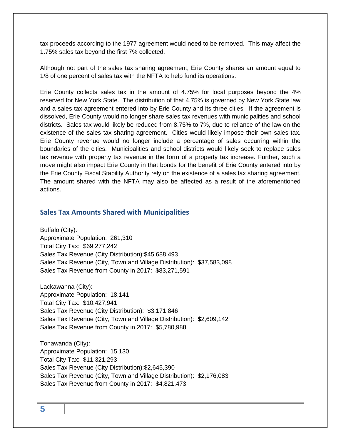tax proceeds according to the 1977 agreement would need to be removed. This may affect the 1.75% sales tax beyond the first 7% collected.

Although not part of the sales tax sharing agreement, Erie County shares an amount equal to 1/8 of one percent of sales tax with the NFTA to help fund its operations.

Erie County collects sales tax in the amount of 4.75% for local purposes beyond the 4% reserved for New York State. The distribution of that 4.75% is governed by New York State law and a sales tax agreement entered into by Erie County and its three cities. If the agreement is dissolved, Erie County would no longer share sales tax revenues with municipalities and school districts. Sales tax would likely be reduced from 8.75% to 7%, due to reliance of the law on the existence of the sales tax sharing agreement. Cities would likely impose their own sales tax. Erie County revenue would no longer include a percentage of sales occurring within the boundaries of the cities. Municipalities and school districts would likely seek to replace sales tax revenue with property tax revenue in the form of a property tax increase. Further, such a move might also impact Erie County in that bonds for the benefit of Erie County entered into by the Erie County Fiscal Stability Authority rely on the existence of a sales tax sharing agreement. The amount shared with the NFTA may also be affected as a result of the aforementioned actions.

### <span id="page-4-0"></span>**Sales Tax Amounts Shared with Municipalities**

Buffalo (City): Approximate Population: 261,310 Total City Tax: \$69,277,242 Sales Tax Revenue (City Distribution):\$45,688,493 Sales Tax Revenue (City, Town and Village Distribution): \$37,583,098 Sales Tax Revenue from County in 2017: \$83,271,591

Lackawanna (City): Approximate Population: 18,141 Total City Tax: \$10,427,941 Sales Tax Revenue (City Distribution): \$3,171,846 Sales Tax Revenue (City, Town and Village Distribution): \$2,609,142 Sales Tax Revenue from County in 2017: \$5,780,988

Tonawanda (City): Approximate Population: 15,130 Total City Tax: \$11,321,293 Sales Tax Revenue (City Distribution):\$2,645,390 Sales Tax Revenue (City, Town and Village Distribution): \$2,176,083 Sales Tax Revenue from County in 2017: \$4,821,473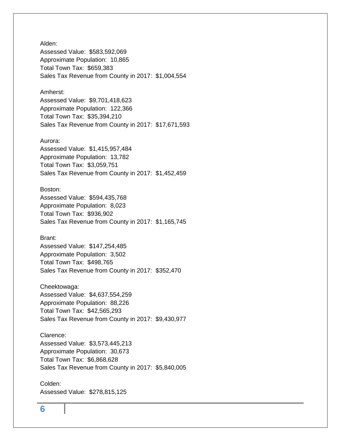Alden: Assessed Value: \$583,592,069 Approximate Population: 10,865 Total Town Tax: \$659,383 Sales Tax Revenue from County in 2017: \$1,004,554

#### Amherst:

Assessed Value: \$9,701,418,623 Approximate Population: 122,366 Total Town Tax: \$35,394,210 Sales Tax Revenue from County in 2017: \$17,671,593

#### Aurora:

Assessed Value: \$1,415,957,484 Approximate Population: 13,782 Total Town Tax: \$3,059,751 Sales Tax Revenue from County in 2017: \$1,452,459

#### Boston:

Assessed Value: \$594,435,768 Approximate Population: 8,023 Total Town Tax: \$936,902 Sales Tax Revenue from County in 2017: \$1,165,745

#### Brant:

Assessed Value: \$147,254,485 Approximate Population: 3,502 Total Town Tax: \$498,765 Sales Tax Revenue from County in 2017: \$352,470

Cheektowaga: Assessed Value: \$4,637,554,259 Approximate Population: 88,226 Total Town Tax: \$42,565,293 Sales Tax Revenue from County in 2017: \$9,430,977

Clarence: Assessed Value: \$3,573,445,213 Approximate Population: 30,673 Total Town Tax: \$6,868,628 Sales Tax Revenue from County in 2017: \$5,840,005

Colden: Assessed Value: \$278,815,125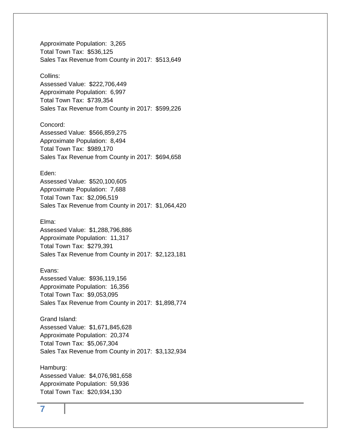Approximate Population: 3,265 Total Town Tax: \$536,125 Sales Tax Revenue from County in 2017: \$513,649

#### Collins:

Assessed Value: \$222,706,449 Approximate Population: 6,997 Total Town Tax: \$739,354 Sales Tax Revenue from County in 2017: \$599,226

Concord: Assessed Value: \$566,859,275 Approximate Population: 8,494 Total Town Tax: \$989,170 Sales Tax Revenue from County in 2017: \$694,658

#### Eden:

Assessed Value: \$520,100,605 Approximate Population: 7,688 Total Town Tax: \$2,096,519 Sales Tax Revenue from County in 2017: \$1,064,420

Elma:

Assessed Value: \$1,288,796,886 Approximate Population: 11,317 Total Town Tax: \$279,391 Sales Tax Revenue from County in 2017: \$2,123,181

Evans: Assessed Value: \$936,119,156 Approximate Population: 16,356 Total Town Tax: \$9,053,095 Sales Tax Revenue from County in 2017: \$1,898,774

Grand Island: Assessed Value: \$1,671,845,628 Approximate Population: 20,374 Total Town Tax: \$5,067,304 Sales Tax Revenue from County in 2017: \$3,132,934

Hamburg: Assessed Value: \$4,076,981,658 Approximate Population: 59,936 Total Town Tax: \$20,934,130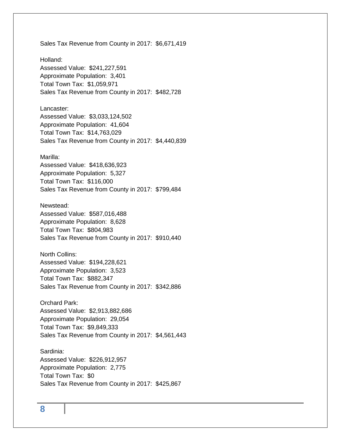Sales Tax Revenue from County in 2017: \$6,671,419

Holland: Assessed Value: \$241,227,591 Approximate Population: 3,401 Total Town Tax: \$1,059,971 Sales Tax Revenue from County in 2017: \$482,728

Lancaster: Assessed Value: \$3,033,124,502 Approximate Population: 41,604 Total Town Tax: \$14,763,029 Sales Tax Revenue from County in 2017: \$4,440,839

#### Marilla:

Assessed Value: \$418,636,923 Approximate Population: 5,327 Total Town Tax: \$116,000 Sales Tax Revenue from County in 2017: \$799,484

Newstead: Assessed Value: \$587,016,488 Approximate Population: 8,628 Total Town Tax: \$804,983 Sales Tax Revenue from County in 2017: \$910,440

North Collins: Assessed Value: \$194,228,621 Approximate Population: 3,523 Total Town Tax: \$882,347 Sales Tax Revenue from County in 2017: \$342,886

Orchard Park:

Assessed Value: \$2,913,882,686 Approximate Population: 29,054 Total Town Tax: \$9,849,333 Sales Tax Revenue from County in 2017: \$4,561,443

Sardinia: Assessed Value: \$226,912,957 Approximate Population: 2,775 Total Town Tax: \$0 Sales Tax Revenue from County in 2017: \$425,867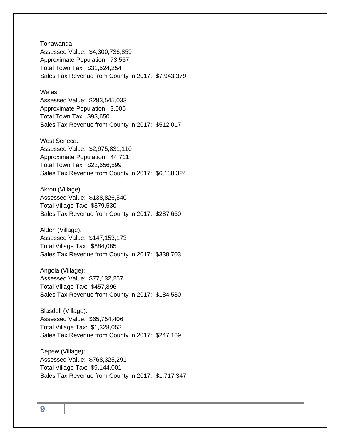Tonawanda: Assessed Value: \$4,300,736,859 Approximate Population: 73,567 Total Town Tax: \$31,524,254 Sales Tax Revenue from County in 2017: \$7,943,379

#### Wales:

Assessed Value: \$293,545,033 Approximate Population: 3,005 Total Town Tax: \$93,650 Sales Tax Revenue from County in 2017: \$512,017

West Seneca: Assessed Value: \$2,975,831,110 Approximate Population: 44,711 Total Town Tax: \$22,656,599 Sales Tax Revenue from County in 2017: \$6,138,324

Akron (Village): Assessed Value: \$138,826,540 Total Village Tax: \$879,530 Sales Tax Revenue from County in 2017: \$287,660

Alden (Village): Assessed Value: \$147,153,173 Total Village Tax: \$884,085 Sales Tax Revenue from County in 2017: \$338,703

Angola (Village): Assessed Value: \$77,132,257 Total Village Tax: \$457,896 Sales Tax Revenue from County in 2017: \$184,580

Blasdell (Village): Assessed Value: \$65,754,406 Total Village Tax: \$1,328,052 Sales Tax Revenue from County in 2017: \$247,169

Depew (Village): Assessed Value: \$768,325,291 Total Village Tax: \$9,144,001 Sales Tax Revenue from County in 2017: \$1,717,347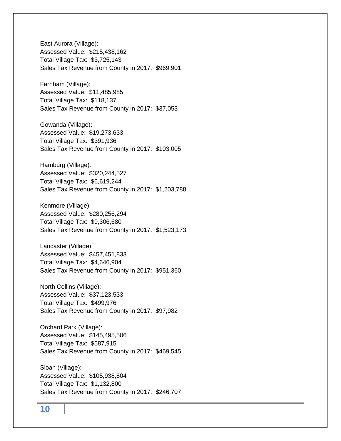East Aurora (Village): Assessed Value: \$215,438,162 Total Village Tax: \$3,725,143 Sales Tax Revenue from County in 2017: \$969,901

Farnham (Village): Assessed Value: \$11,485,985 Total Village Tax: \$118,137 Sales Tax Revenue from County in 2017: \$37,053

Gowanda (Village): Assessed Value: \$19,273,633 Total Village Tax: \$391,936 Sales Tax Revenue from County in 2017: \$103,005

Hamburg (Village): Assessed Value: \$320,244,527 Total Village Tax: \$6,619,244 Sales Tax Revenue from County in 2017: \$1,203,788

Kenmore (Village): Assessed Value: \$280,256,294 Total Village Tax: \$9,306,680 Sales Tax Revenue from County in 2017: \$1,523,173

Lancaster (Village): Assessed Value: \$457,451,833 Total Village Tax: \$4,646,904 Sales Tax Revenue from County in 2017: \$951,360

North Collins (Village): Assessed Value: \$37,123,533 Total Village Tax: \$499,976 Sales Tax Revenue from County in 2017: \$97,982

Orchard Park (Village): Assessed Value: \$145,495,506 Total Village Tax: \$587,915 Sales Tax Revenue from County in 2017: \$469,545

Sloan (Village): Assessed Value: \$105,938,804 Total Village Tax: \$1,132,800 Sales Tax Revenue from County in 2017: \$246,707